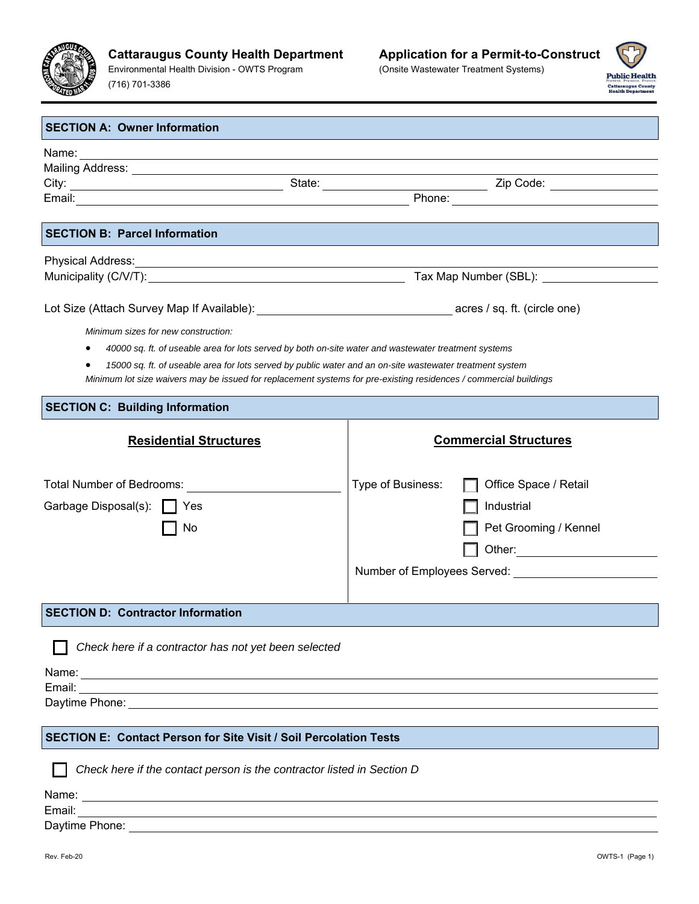

Environmental Health Division - OWTS Program (716) 701-3386

(Onsite Wastewater Treatment Systems)



| <b>SECTION A: Owner Information</b>                                                                               |                                                                                                                                                                                                                                 |  |  |  |
|-------------------------------------------------------------------------------------------------------------------|---------------------------------------------------------------------------------------------------------------------------------------------------------------------------------------------------------------------------------|--|--|--|
|                                                                                                                   |                                                                                                                                                                                                                                 |  |  |  |
|                                                                                                                   |                                                                                                                                                                                                                                 |  |  |  |
|                                                                                                                   |                                                                                                                                                                                                                                 |  |  |  |
|                                                                                                                   | Mailing Address:<br>City: City: City: City: City: City: City: City: City: City: City: City: City: City: City: City: City: City: City: City: City: City: City: City: City: City: City: City: City: City: City: City: City: City: |  |  |  |
|                                                                                                                   |                                                                                                                                                                                                                                 |  |  |  |
| <b>SECTION B: Parcel Information</b>                                                                              |                                                                                                                                                                                                                                 |  |  |  |
| Physical Address: Note and the contract of the contract of the contract of the contract of the contract of the    |                                                                                                                                                                                                                                 |  |  |  |
|                                                                                                                   |                                                                                                                                                                                                                                 |  |  |  |
|                                                                                                                   |                                                                                                                                                                                                                                 |  |  |  |
|                                                                                                                   |                                                                                                                                                                                                                                 |  |  |  |
| Minimum sizes for new construction:                                                                               |                                                                                                                                                                                                                                 |  |  |  |
| 40000 sq. ft. of useable area for lots served by both on-site water and wastewater treatment systems<br>٠         |                                                                                                                                                                                                                                 |  |  |  |
| 15000 sq. ft. of useable area for lots served by public water and an on-site wastewater treatment system          |                                                                                                                                                                                                                                 |  |  |  |
| Minimum lot size waivers may be issued for replacement systems for pre-existing residences / commercial buildings |                                                                                                                                                                                                                                 |  |  |  |
| <b>SECTION C: Building Information</b>                                                                            |                                                                                                                                                                                                                                 |  |  |  |
| <b>Residential Structures</b>                                                                                     | <b>Commercial Structures</b>                                                                                                                                                                                                    |  |  |  |
|                                                                                                                   |                                                                                                                                                                                                                                 |  |  |  |
|                                                                                                                   |                                                                                                                                                                                                                                 |  |  |  |
| Total Number of Bedrooms: <u>________________</u>                                                                 | Type of Business:<br>Office Space / Retail                                                                                                                                                                                      |  |  |  |
| Garbage Disposal(s):   Yes                                                                                        | Industrial                                                                                                                                                                                                                      |  |  |  |
| No                                                                                                                | Pet Grooming / Kennel                                                                                                                                                                                                           |  |  |  |
|                                                                                                                   |                                                                                                                                                                                                                                 |  |  |  |
|                                                                                                                   |                                                                                                                                                                                                                                 |  |  |  |
|                                                                                                                   |                                                                                                                                                                                                                                 |  |  |  |
|                                                                                                                   |                                                                                                                                                                                                                                 |  |  |  |
| <b>SECTION D: Contractor Information</b>                                                                          |                                                                                                                                                                                                                                 |  |  |  |
| Check here if a contractor has not yet been selected                                                              |                                                                                                                                                                                                                                 |  |  |  |
|                                                                                                                   |                                                                                                                                                                                                                                 |  |  |  |
|                                                                                                                   |                                                                                                                                                                                                                                 |  |  |  |
|                                                                                                                   |                                                                                                                                                                                                                                 |  |  |  |
|                                                                                                                   |                                                                                                                                                                                                                                 |  |  |  |
| <b>SECTION E: Contact Person for Site Visit / Soil Percolation Tests</b>                                          |                                                                                                                                                                                                                                 |  |  |  |
|                                                                                                                   |                                                                                                                                                                                                                                 |  |  |  |
| Check here if the contact person is the contractor listed in Section D                                            |                                                                                                                                                                                                                                 |  |  |  |
|                                                                                                                   |                                                                                                                                                                                                                                 |  |  |  |
|                                                                                                                   |                                                                                                                                                                                                                                 |  |  |  |
|                                                                                                                   |                                                                                                                                                                                                                                 |  |  |  |
|                                                                                                                   |                                                                                                                                                                                                                                 |  |  |  |